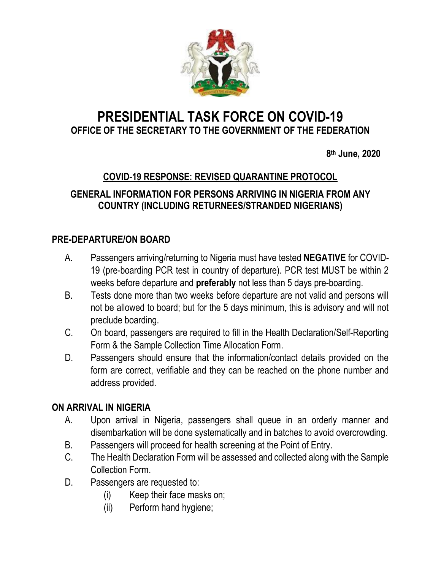

# **PRESIDENTIAL TASK FORCE ON COVID-19 OFFICE OF THE SECRETARY TO THE GOVERNMENT OF THE FEDERATION**

 **8 th June, 2020**

## **COVID-19 RESPONSE: REVISED QUARANTINE PROTOCOL**

### **GENERAL INFORMATION FOR PERSONS ARRIVING IN NIGERIA FROM ANY COUNTRY (INCLUDING RETURNEES/STRANDED NIGERIANS)**

#### **PRE-DEPARTURE/ON BOARD**

- A. Passengers arriving/returning to Nigeria must have tested **NEGATIVE** for COVID-19 (pre-boarding PCR test in country of departure). PCR test MUST be within 2 weeks before departure and **preferably** not less than 5 days pre-boarding.
- B. Tests done more than two weeks before departure are not valid and persons will not be allowed to board; but for the 5 days minimum, this is advisory and will not preclude boarding.
- C. On board, passengers are required to fill in the Health Declaration/Self-Reporting Form & the Sample Collection Time Allocation Form.
- D. Passengers should ensure that the information/contact details provided on the form are correct, verifiable and they can be reached on the phone number and address provided.

#### **ON ARRIVAL IN NIGERIA**

- A. Upon arrival in Nigeria, passengers shall queue in an orderly manner and disembarkation will be done systematically and in batches to avoid overcrowding.
- B. Passengers will proceed for health screening at the Point of Entry.
- C. The Health Declaration Form will be assessed and collected along with the Sample Collection Form.
- D. Passengers are requested to:
	- (i) Keep their face masks on;
	- (ii) Perform hand hygiene;